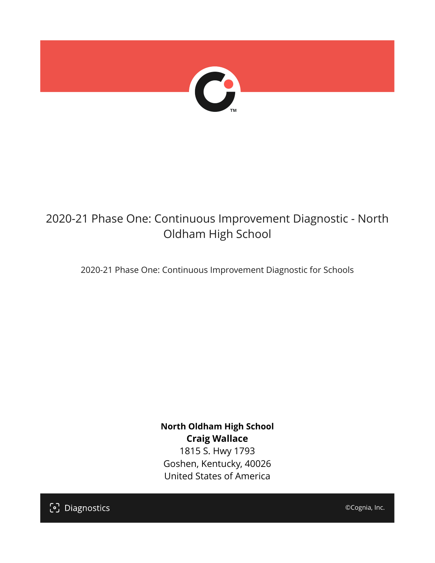

# 2020-21 Phase One: Continuous Improvement Diagnostic - North Oldham High School

2020-21 Phase One: Continuous Improvement Diagnostic for Schools

**North Oldham High School Craig Wallace** 1815 S. Hwy 1793 Goshen, Kentucky, 40026 United States of America

[၁] Diagnostics

©Cognia, Inc.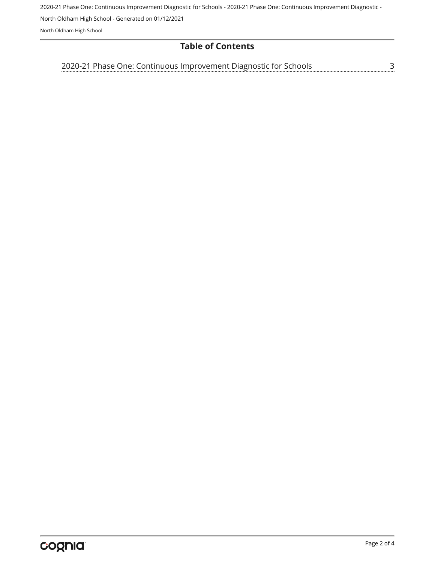2020-21 Phase One: Continuous Improvement Diagnostic for Schools - 2020-21 Phase One: Continuous Improvement Diagnostic -

North Oldham High School - Generated on 01/12/2021

North Oldham High School

#### **Table of Contents**

[2020-21 Phase One: Continuous Improvement Diagnostic for Schools](#page-2-0)[3](#page-2-0)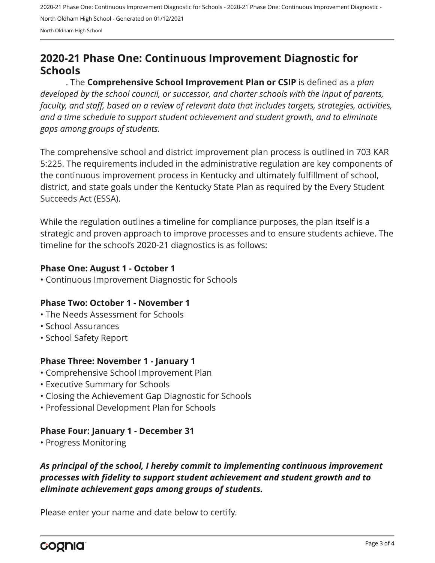2020-21 Phase One: Continuous Improvement Diagnostic for Schools - 2020-21 Phase One: Continuous Improvement Diagnostic - North Oldham High School - Generated on 01/12/2021 North Oldham High School

## <span id="page-2-0"></span>**2020-21 Phase One: Continuous Improvement Diagnostic for Schools**

. The **Comprehensive School Improvement Plan or CSIP** is defined as a *plan developed by the school council, or successor, and charter schools with the input of parents, faculty, and staff, based on a review of relevant data that includes targets, strategies, activities, and a time schedule to support student achievement and student growth, and to eliminate gaps among groups of students.*

The comprehensive school and district improvement plan process is outlined in 703 KAR 5:225. The requirements included in the administrative regulation are key components of the continuous improvement process in Kentucky and ultimately fulfillment of school, district, and state goals under the Kentucky State Plan as required by the Every Student Succeeds Act (ESSA).

While the regulation outlines a timeline for compliance purposes, the plan itself is a strategic and proven approach to improve processes and to ensure students achieve. The timeline for the school's 2020-21 diagnostics is as follows:

#### **Phase One: August 1 - October 1**

• Continuous Improvement Diagnostic for Schools

#### **Phase Two: October 1 - November 1**

- The Needs Assessment for Schools
- School Assurances
- School Safety Report

#### **Phase Three: November 1 - January 1**

- Comprehensive School Improvement Plan
- Executive Summary for Schools
- Closing the Achievement Gap Diagnostic for Schools
- Professional Development Plan for Schools

#### **Phase Four: January 1 - December 31**

• Progress Monitoring

### *As principal of the school, I hereby commit to implementing continuous improvement processes with fidelity to support student achievement and student growth and to eliminate achievement gaps among groups of students.*

Please enter your name and date below to certify.